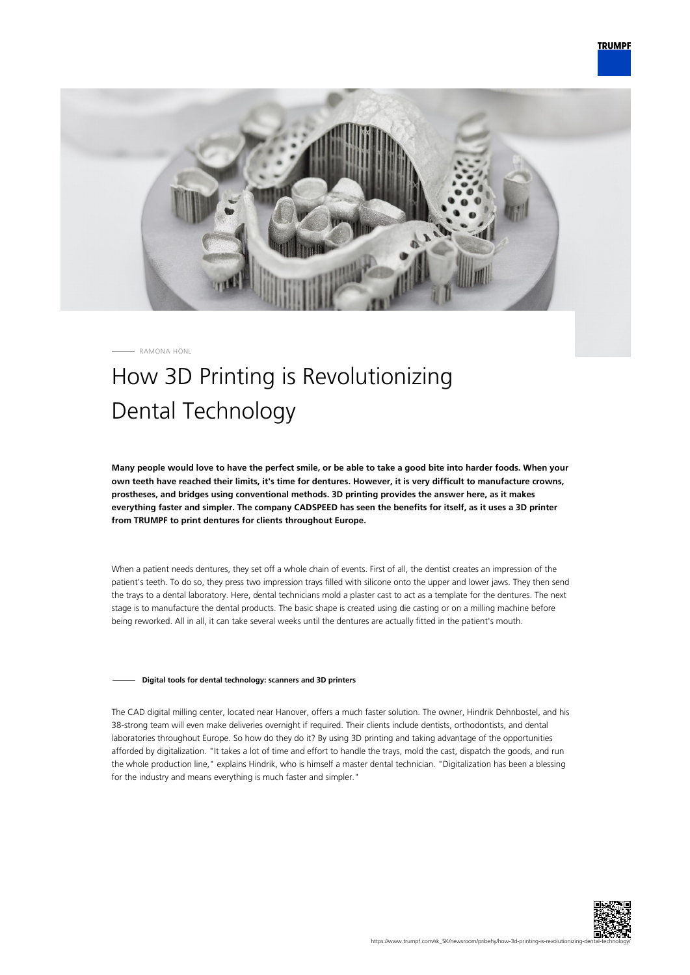

RAMONA HÖNL

# How 3D Printing is Revolutionizing Dental Technology

**Many people would love to have the perfect smile, or be able to take a good bite into harder foods. When your own teeth have reached their limits, it's time for dentures. However, it is very difficult to manufacture crowns, prostheses, and bridges using conventional methods. 3D printing provides the answer here, as it makes everything faster and simpler. The company CADSPEED has seen the benefits for itself, as it uses a 3D printer from TRUMPF to print dentures for clients throughout Europe.**

When a patient needs dentures, they set off a whole chain of events. First of all, the dentist creates an impression of the patient's teeth. To do so, they press two impression trays filled with silicone onto the upper and lower jaws. They then send the trays to a dental laboratory. Here, dental technicians mold a plaster cast to act as a template for the dentures. The next stage is to manufacture the dental products. The basic shape is created using die casting or on a milling machine before being reworked. All in all, it can take several weeks until the dentures are actually fitted in the patient's mouth.

## **Digital tools for dental technology: scanners and 3D printers**

The CAD digital milling center, located near Hanover, offers a much faster solution. The owner, Hindrik Dehnbostel, and his 38-strong team will even make deliveries overnight if required. Their clients include dentists, orthodontists, and dental laboratories throughout Europe. So how do they do it? By using 3D printing and taking advantage of the opportunities afforded by digitalization. "It takes a lot of time and effort to handle the trays, mold the cast, dispatch the goods, and run the whole production line," explains Hindrik, who is himself a master dental technician. "Digitalization has been a blessing for the industry and means everything is much faster and simpler."

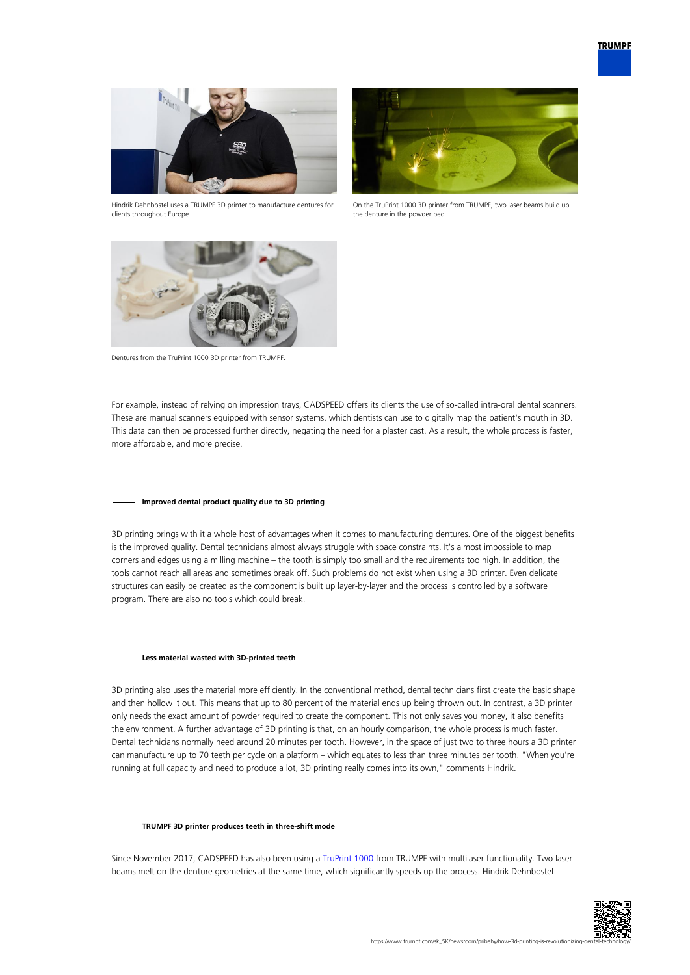

Hindrik Dehnbostel uses a TRUMPF 3D printer to manufacture dentures for clients throughout Europe.



On the TruPrint 1000 3D printer from TRUMPF, two laser beams build up the denture in the powder bed.



Dentures from the TruPrint 1000 3D printer from TRUMPF.

For example, instead of relying on impression trays, CADSPEED offers its clients the use of so-called intra-oral dental scanners. These are manual scanners equipped with sensor systems, which dentists can use to digitally map the patient's mouth in 3D. This data can then be processed further directly, negating the need for a plaster cast. As a result, the whole process is faster, more affordable, and more precise.

## **Improved dental product quality due to 3D printing**

3D printing brings with it a whole host of advantages when it comes to manufacturing dentures. One of the biggest benefits is the improved quality. Dental technicians almost always struggle with space constraints. It's almost impossible to map corners and edges using a milling machine – the tooth is simply too small and the requirements too high. In addition, the tools cannot reach all areas and sometimes break off. Such problems do not exist when using a 3D printer. Even delicate structures can easily be created as the component is built up layer-by-layer and the process is controlled by a software program. There are also no tools which could break.

#### **Less material wasted with 3D-printed teeth**

3D printing also uses the material more efficiently. In the conventional method, dental technicians first create the basic shape and then hollow it out. This means that up to 80 percent of the material ends up being thrown out. In contrast, a 3D printer only needs the exact amount of powder required to create the component. This not only saves you money, it also benefits the environment. A further advantage of 3D printing is that, on an hourly comparison, the whole process is much faster. Dental technicians normally need around 20 minutes per tooth. However, in the space of just two to three hours a 3D printer can manufacture up to 70 teeth per cycle on a platform – which equates to less than three minutes per tooth. "When you're running at full capacity and need to produce a lot, 3D printing really comes into its own," comments Hindrik.

#### **TRUMPF 3D printer produces teeth in three-shift mode**

Since November 2017, CADSPEED has also been using a [TruPrint 1000](https://www.trumpf.com/sk_SK/produkty/systemystrojov/aditivne-vyrobne-systemy/truprint-1000/) from TRUMPF with multilaser functionality. Two laser beams melt on the denture geometries at the same time, which significantly speeds up the process. Hindrik Dehnbostel